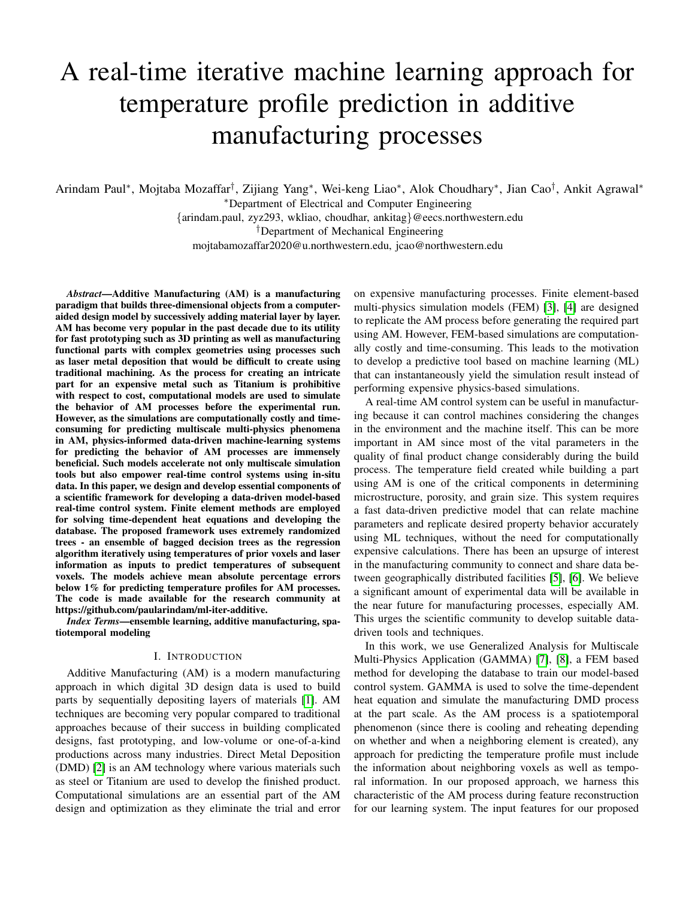# A real-time iterative machine learning approach for temperature profile prediction in additive manufacturing processes

Arindam Paul<sup>∗</sup> , Mojtaba Mozaffar† , Zijiang Yang<sup>∗</sup> , Wei-keng Liao<sup>∗</sup> , Alok Choudhary<sup>∗</sup> , Jian Cao† , Ankit Agrawal<sup>∗</sup> <sup>∗</sup>Department of Electrical and Computer Engineering {arindam.paul, zyz293, wkliao, choudhar, ankitag}@eecs.northwestern.edu †Department of Mechanical Engineering mojtabamozaffar2020@u.northwestern.edu, jcao@northwestern.edu

*Abstract*—Additive Manufacturing (AM) is a manufacturing paradigm that builds three-dimensional objects from a computeraided design model by successively adding material layer by layer. AM has become very popular in the past decade due to its utility for fast prototyping such as 3D printing as well as manufacturing functional parts with complex geometries using processes such as laser metal deposition that would be difficult to create using traditional machining. As the process for creating an intricate part for an expensive metal such as Titanium is prohibitive with respect to cost, computational models are used to simulate the behavior of AM processes before the experimental run. However, as the simulations are computationally costly and timeconsuming for predicting multiscale multi-physics phenomena in AM, physics-informed data-driven machine-learning systems for predicting the behavior of AM processes are immensely beneficial. Such models accelerate not only multiscale simulation tools but also empower real-time control systems using in-situ data. In this paper, we design and develop essential components of a scientific framework for developing a data-driven model-based real-time control system. Finite element methods are employed for solving time-dependent heat equations and developing the database. The proposed framework uses extremely randomized trees - an ensemble of bagged decision trees as the regression algorithm iteratively using temperatures of prior voxels and laser information as inputs to predict temperatures of subsequent voxels. The models achieve mean absolute percentage errors below 1% for predicting temperature profiles for AM processes. The code is made available for the research community at https://github.com/paularindam/ml-iter-additive.

*Index Terms*—ensemble learning, additive manufacturing, spatiotemporal modeling

### I. INTRODUCTION

Additive Manufacturing (AM) is a modern manufacturing approach in which digital 3D design data is used to build parts by sequentially depositing layers of materials [\[1\]](#page-8-0). AM techniques are becoming very popular compared to traditional approaches because of their success in building complicated designs, fast prototyping, and low-volume or one-of-a-kind productions across many industries. Direct Metal Deposition (DMD) [\[2\]](#page-8-1) is an AM technology where various materials such as steel or Titanium are used to develop the finished product. Computational simulations are an essential part of the AM design and optimization as they eliminate the trial and error on expensive manufacturing processes. Finite element-based multi-physics simulation models (FEM) [\[3\]](#page-8-2), [\[4\]](#page-8-3) are designed to replicate the AM process before generating the required part using AM. However, FEM-based simulations are computationally costly and time-consuming. This leads to the motivation to develop a predictive tool based on machine learning (ML) that can instantaneously yield the simulation result instead of performing expensive physics-based simulations.

A real-time AM control system can be useful in manufacturing because it can control machines considering the changes in the environment and the machine itself. This can be more important in AM since most of the vital parameters in the quality of final product change considerably during the build process. The temperature field created while building a part using AM is one of the critical components in determining microstructure, porosity, and grain size. This system requires a fast data-driven predictive model that can relate machine parameters and replicate desired property behavior accurately using ML techniques, without the need for computationally expensive calculations. There has been an upsurge of interest in the manufacturing community to connect and share data between geographically distributed facilities [\[5\]](#page-8-4), [\[6\]](#page-8-5). We believe a significant amount of experimental data will be available in the near future for manufacturing processes, especially AM. This urges the scientific community to develop suitable datadriven tools and techniques.

In this work, we use Generalized Analysis for Multiscale Multi-Physics Application (GAMMA) [\[7\]](#page-8-6), [\[8\]](#page-8-7), a FEM based method for developing the database to train our model-based control system. GAMMA is used to solve the time-dependent heat equation and simulate the manufacturing DMD process at the part scale. As the AM process is a spatiotemporal phenomenon (since there is cooling and reheating depending on whether and when a neighboring element is created), any approach for predicting the temperature profile must include the information about neighboring voxels as well as temporal information. In our proposed approach, we harness this characteristic of the AM process during feature reconstruction for our learning system. The input features for our proposed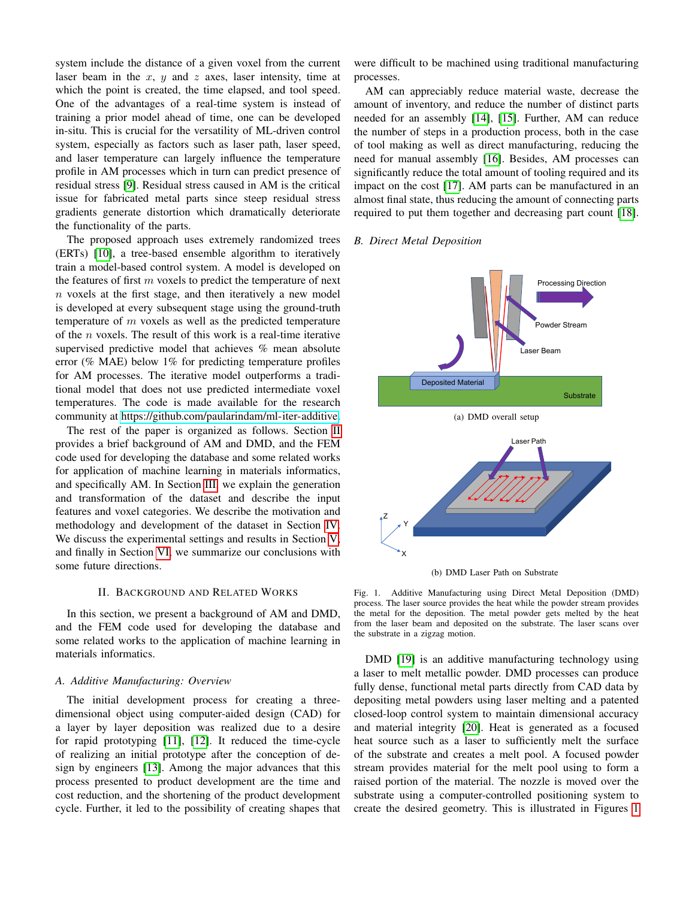system include the distance of a given voxel from the current laser beam in the  $x$ ,  $y$  and  $z$  axes, laser intensity, time at which the point is created, the time elapsed, and tool speed. One of the advantages of a real-time system is instead of training a prior model ahead of time, one can be developed in-situ. This is crucial for the versatility of ML-driven control system, especially as factors such as laser path, laser speed, and laser temperature can largely influence the temperature profile in AM processes which in turn can predict presence of residual stress [\[9\]](#page-8-8). Residual stress caused in AM is the critical issue for fabricated metal parts since steep residual stress gradients generate distortion which dramatically deteriorate the functionality of the parts.

The proposed approach uses extremely randomized trees (ERTs) [\[10\]](#page-8-9), a tree-based ensemble algorithm to iteratively train a model-based control system. A model is developed on the features of first  $m$  voxels to predict the temperature of next  $n$  voxels at the first stage, and then iteratively a new model is developed at every subsequent stage using the ground-truth temperature of  $m$  voxels as well as the predicted temperature of the  $n$  voxels. The result of this work is a real-time iterative supervised predictive model that achieves % mean absolute error (% MAE) below 1% for predicting temperature profiles for AM processes. The iterative model outperforms a traditional model that does not use predicted intermediate voxel temperatures. The code is made available for the research community at [https://github.com/paularindam/ml-iter-additive.](https://github.com/paularindam/ml-iter-additive)

The rest of the paper is organized as follows. Section [II](#page-1-0) provides a brief background of AM and DMD, and the FEM code used for developing the database and some related works for application of machine learning in materials informatics, and specifically AM. In Section [III,](#page-2-0) we explain the generation and transformation of the dataset and describe the input features and voxel categories. We describe the motivation and methodology and development of the dataset in Section [IV.](#page-4-0) We discuss the experimental settings and results in Section [V,](#page-5-0) and finally in Section [VI,](#page-8-10) we summarize our conclusions with some future directions.

# II. BACKGROUND AND RELATED WORKS

<span id="page-1-0"></span>In this section, we present a background of AM and DMD, and the FEM code used for developing the database and some related works to the application of machine learning in materials informatics.

#### *A. Additive Manufacturing: Overview*

The initial development process for creating a threedimensional object using computer-aided design (CAD) for a layer by layer deposition was realized due to a desire for rapid prototyping [\[11\]](#page-8-11), [\[12\]](#page-8-12). It reduced the time-cycle of realizing an initial prototype after the conception of design by engineers [\[13\]](#page-8-13). Among the major advances that this process presented to product development are the time and cost reduction, and the shortening of the product development cycle. Further, it led to the possibility of creating shapes that

were difficult to be machined using traditional manufacturing processes.

AM can appreciably reduce material waste, decrease the amount of inventory, and reduce the number of distinct parts needed for an assembly [\[14\]](#page-8-14), [\[15\]](#page-8-15). Further, AM can reduce the number of steps in a production process, both in the case of tool making as well as direct manufacturing, reducing the need for manual assembly [\[16\]](#page-8-16). Besides, AM processes can significantly reduce the total amount of tooling required and its impact on the cost [\[17\]](#page-8-17). AM parts can be manufactured in an almost final state, thus reducing the amount of connecting parts required to put them together and decreasing part count [\[18\]](#page-8-18).

# *B. Direct Metal Deposition*



(b) DMD Laser Path on Substrate

#### <span id="page-1-1"></span>Fig. 1. Additive Manufacturing using Direct Metal Deposition (DMD) process. The laser source provides the heat while the powder stream provides the metal for the deposition. The metal powder gets melted by the heat from the laser beam and deposited on the substrate. The laser scans over the substrate in a zigzag motion.

DMD [\[19\]](#page-8-19) is an additive manufacturing technology using a laser to melt metallic powder. DMD processes can produce fully dense, functional metal parts directly from CAD data by depositing metal powders using laser melting and a patented closed-loop control system to maintain dimensional accuracy and material integrity [\[20\]](#page-8-20). Heat is generated as a focused heat source such as a laser to sufficiently melt the surface of the substrate and creates a melt pool. A focused powder stream provides material for the melt pool using to form a raised portion of the material. The nozzle is moved over the substrate using a computer-controlled positioning system to create the desired geometry. This is illustrated in Figures [1](#page-1-1)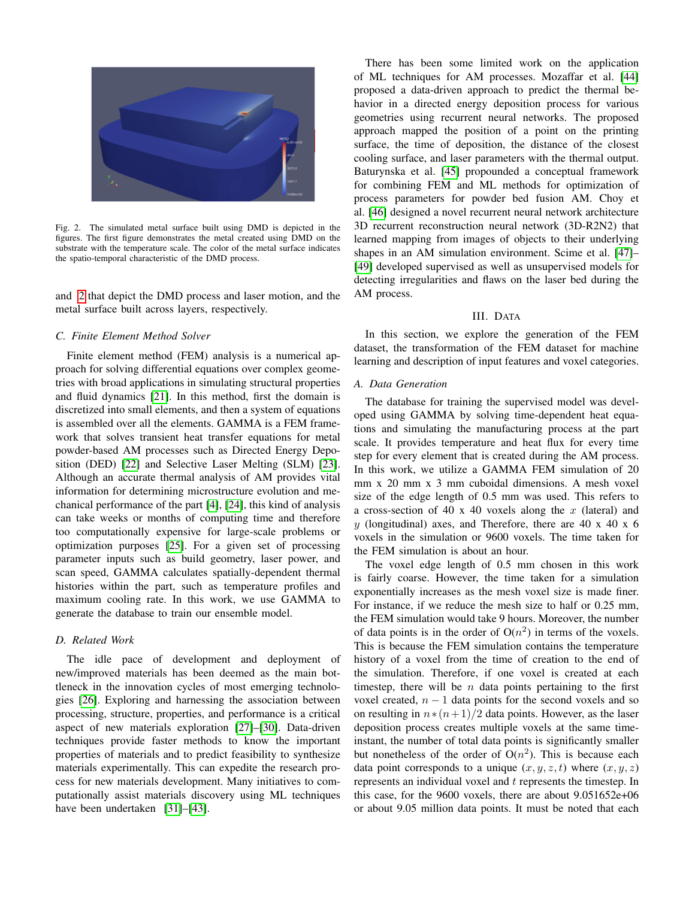

Fig. 2. The simulated metal surface built using DMD is depicted in the figures. The first figure demonstrates the metal created using DMD on the substrate with the temperature scale. The color of the metal surface indicates the spatio-temporal characteristic of the DMD process.

<span id="page-2-1"></span>and [2](#page-2-1) that depict the DMD process and laser motion, and the metal surface built across layers, respectively.

## *C. Finite Element Method Solver*

Finite element method (FEM) analysis is a numerical approach for solving differential equations over complex geometries with broad applications in simulating structural properties and fluid dynamics [\[21\]](#page-8-21). In this method, first the domain is discretized into small elements, and then a system of equations is assembled over all the elements. GAMMA is a FEM framework that solves transient heat transfer equations for metal powder-based AM processes such as Directed Energy Deposition (DED) [\[22\]](#page-8-22) and Selective Laser Melting (SLM) [\[23\]](#page-9-0). Although an accurate thermal analysis of AM provides vital information for determining microstructure evolution and mechanical performance of the part [\[4\]](#page-8-3), [\[24\]](#page-9-1), this kind of analysis can take weeks or months of computing time and therefore too computationally expensive for large-scale problems or optimization purposes [\[25\]](#page-9-2). For a given set of processing parameter inputs such as build geometry, laser power, and scan speed, GAMMA calculates spatially-dependent thermal histories within the part, such as temperature profiles and maximum cooling rate. In this work, we use GAMMA to generate the database to train our ensemble model.

#### *D. Related Work*

The idle pace of development and deployment of new/improved materials has been deemed as the main bottleneck in the innovation cycles of most emerging technologies [\[26\]](#page-9-3). Exploring and harnessing the association between processing, structure, properties, and performance is a critical aspect of new materials exploration [\[27\]](#page-9-4)–[\[30\]](#page-9-5). Data-driven techniques provide faster methods to know the important properties of materials and to predict feasibility to synthesize materials experimentally. This can expedite the research process for new materials development. Many initiatives to computationally assist materials discovery using ML techniques have been undertaken [\[31\]](#page-9-6)–[\[43\]](#page-9-7).

There has been some limited work on the application of ML techniques for AM processes. Mozaffar et al. [\[44\]](#page-9-8) proposed a data-driven approach to predict the thermal behavior in a directed energy deposition process for various geometries using recurrent neural networks. The proposed approach mapped the position of a point on the printing surface, the time of deposition, the distance of the closest cooling surface, and laser parameters with the thermal output. Baturynska et al. [\[45\]](#page-9-9) propounded a conceptual framework for combining FEM and ML methods for optimization of process parameters for powder bed fusion AM. Choy et al. [\[46\]](#page-9-10) designed a novel recurrent neural network architecture 3D recurrent reconstruction neural network (3D-R2N2) that learned mapping from images of objects to their underlying shapes in an AM simulation environment. Scime et al. [\[47\]](#page-9-11)– [\[49\]](#page-9-12) developed supervised as well as unsupervised models for detecting irregularities and flaws on the laser bed during the AM process.

# III. DATA

<span id="page-2-0"></span>In this section, we explore the generation of the FEM dataset, the transformation of the FEM dataset for machine learning and description of input features and voxel categories.

#### *A. Data Generation*

The database for training the supervised model was developed using GAMMA by solving time-dependent heat equations and simulating the manufacturing process at the part scale. It provides temperature and heat flux for every time step for every element that is created during the AM process. In this work, we utilize a GAMMA FEM simulation of 20 mm x 20 mm x 3 mm cuboidal dimensions. A mesh voxel size of the edge length of 0.5 mm was used. This refers to a cross-section of 40 x 40 voxels along the  $x$  (lateral) and  $y$  (longitudinal) axes, and Therefore, there are 40 x 40 x 6 voxels in the simulation or 9600 voxels. The time taken for the FEM simulation is about an hour.

The voxel edge length of 0.5 mm chosen in this work is fairly coarse. However, the time taken for a simulation exponentially increases as the mesh voxel size is made finer. For instance, if we reduce the mesh size to half or 0.25 mm, the FEM simulation would take 9 hours. Moreover, the number of data points is in the order of  $O(n^2)$  in terms of the voxels. This is because the FEM simulation contains the temperature history of a voxel from the time of creation to the end of the simulation. Therefore, if one voxel is created at each timestep, there will be  $n$  data points pertaining to the first voxel created,  $n - 1$  data points for the second voxels and so on resulting in  $n*(n+1)/2$  data points. However, as the laser deposition process creates multiple voxels at the same timeinstant, the number of total data points is significantly smaller but nonetheless of the order of  $O(n^2)$ . This is because each data point corresponds to a unique  $(x, y, z, t)$  where  $(x, y, z)$ represents an individual voxel and t represents the timestep. In this case, for the 9600 voxels, there are about 9.051652e+06 or about 9.05 million data points. It must be noted that each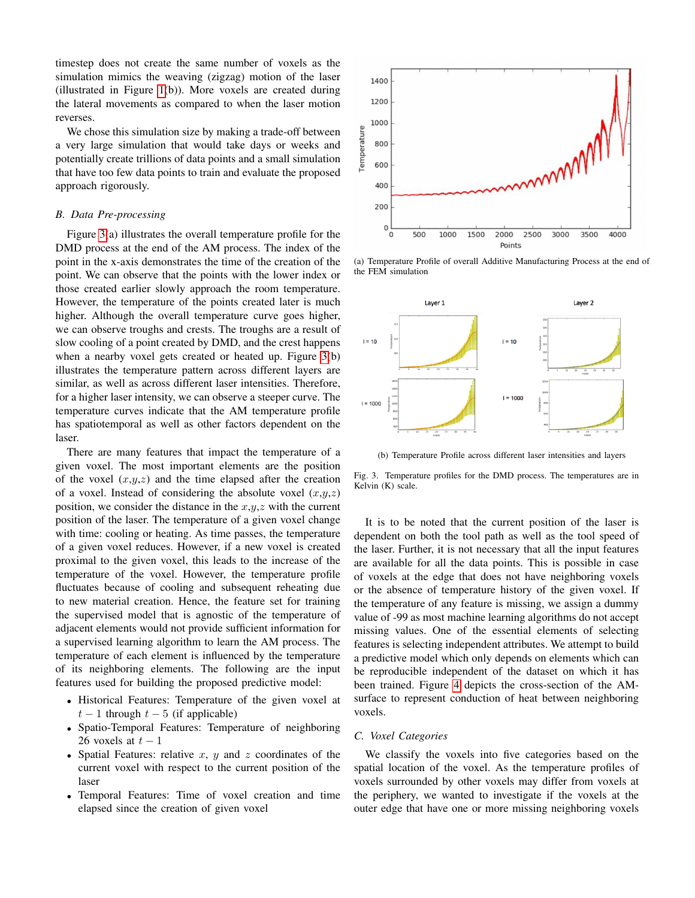timestep does not create the same number of voxels as the simulation mimics the weaving (zigzag) motion of the laser (illustrated in Figure [1\(](#page-1-1)b)). More voxels are created during the lateral movements as compared to when the laser motion reverses.

We chose this simulation size by making a trade-off between a very large simulation that would take days or weeks and potentially create trillions of data points and a small simulation that have too few data points to train and evaluate the proposed approach rigorously.

#### *B. Data Pre-processing*

Figure [3\(](#page-3-0)a) illustrates the overall temperature profile for the DMD process at the end of the AM process. The index of the point in the x-axis demonstrates the time of the creation of the point. We can observe that the points with the lower index or those created earlier slowly approach the room temperature. However, the temperature of the points created later is much higher. Although the overall temperature curve goes higher, we can observe troughs and crests. The troughs are a result of slow cooling of a point created by DMD, and the crest happens when a nearby voxel gets created or heated up. Figure [3\(](#page-3-0)b) illustrates the temperature pattern across different layers are similar, as well as across different laser intensities. Therefore, for a higher laser intensity, we can observe a steeper curve. The temperature curves indicate that the AM temperature profile has spatiotemporal as well as other factors dependent on the laser.

There are many features that impact the temperature of a given voxel. The most important elements are the position of the voxel  $(x,y,z)$  and the time elapsed after the creation of a voxel. Instead of considering the absolute voxel  $(x,y,z)$ position, we consider the distance in the  $x,y,z$  with the current position of the laser. The temperature of a given voxel change with time: cooling or heating. As time passes, the temperature of a given voxel reduces. However, if a new voxel is created proximal to the given voxel, this leads to the increase of the temperature of the voxel. However, the temperature profile fluctuates because of cooling and subsequent reheating due to new material creation. Hence, the feature set for training the supervised model that is agnostic of the temperature of adjacent elements would not provide sufficient information for a supervised learning algorithm to learn the AM process. The temperature of each element is influenced by the temperature of its neighboring elements. The following are the input features used for building the proposed predictive model:

- Historical Features: Temperature of the given voxel at  $t-1$  through  $t-5$  (if applicable)
- Spatio-Temporal Features: Temperature of neighboring 26 voxels at  $t-1$
- Spatial Features: relative  $x, y$  and  $z$  coordinates of the current voxel with respect to the current position of the laser
- Temporal Features: Time of voxel creation and time elapsed since the creation of given voxel



(a) Temperature Profile of overall Additive Manufacturing Process at the end of the FEM simulation



<span id="page-3-0"></span>(b) Temperature Profile across different laser intensities and layers

Fig. 3. Temperature profiles for the DMD process. The temperatures are in Kelvin (K) scale.

It is to be noted that the current position of the laser is dependent on both the tool path as well as the tool speed of the laser. Further, it is not necessary that all the input features are available for all the data points. This is possible in case of voxels at the edge that does not have neighboring voxels or the absence of temperature history of the given voxel. If the temperature of any feature is missing, we assign a dummy value of -99 as most machine learning algorithms do not accept missing values. One of the essential elements of selecting features is selecting independent attributes. We attempt to build a predictive model which only depends on elements which can be reproducible independent of the dataset on which it has been trained. Figure [4](#page-4-1) depicts the cross-section of the AMsurface to represent conduction of heat between neighboring voxels.

# *C. Voxel Categories*

We classify the voxels into five categories based on the spatial location of the voxel. As the temperature profiles of voxels surrounded by other voxels may differ from voxels at the periphery, we wanted to investigate if the voxels at the outer edge that have one or more missing neighboring voxels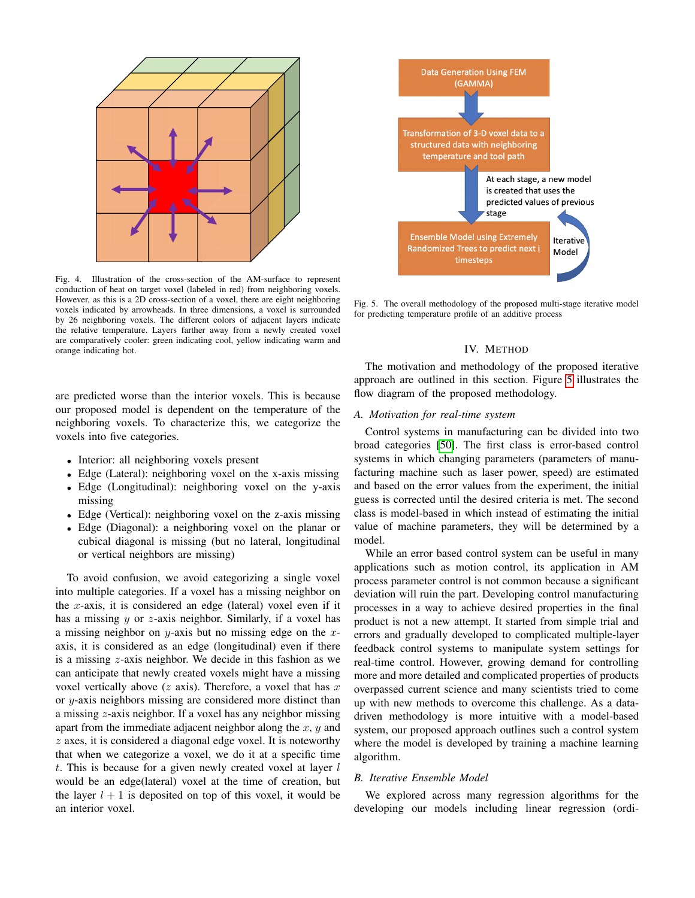

<span id="page-4-1"></span>Fig. 4. Illustration of the cross-section of the AM-surface to represent conduction of heat on target voxel (labeled in red) from neighboring voxels. However, as this is a 2D cross-section of a voxel, there are eight neighboring voxels indicated by arrowheads. In three dimensions, a voxel is surrounded by 26 neighboring voxels. The different colors of adjacent layers indicate the relative temperature. Layers farther away from a newly created voxel are comparatively cooler: green indicating cool, yellow indicating warm and orange indicating hot.

are predicted worse than the interior voxels. This is because our proposed model is dependent on the temperature of the neighboring voxels. To characterize this, we categorize the voxels into five categories.

- Interior: all neighboring voxels present
- Edge (Lateral): neighboring voxel on the x-axis missing
- Edge (Longitudinal): neighboring voxel on the y-axis missing
- Edge (Vertical): neighboring voxel on the z-axis missing
- Edge (Diagonal): a neighboring voxel on the planar or cubical diagonal is missing (but no lateral, longitudinal or vertical neighbors are missing)

To avoid confusion, we avoid categorizing a single voxel into multiple categories. If a voxel has a missing neighbor on the  $x$ -axis, it is considered an edge (lateral) voxel even if it has a missing y or z-axis neighbor. Similarly, if a voxel has a missing neighbor on  $y$ -axis but no missing edge on the  $x$ axis, it is considered as an edge (longitudinal) even if there is a missing z-axis neighbor. We decide in this fashion as we can anticipate that newly created voxels might have a missing voxel vertically above  $(z \text{ axis})$ . Therefore, a voxel that has  $x$ or y-axis neighbors missing are considered more distinct than a missing z-axis neighbor. If a voxel has any neighbor missing apart from the immediate adjacent neighbor along the  $x, y$  and  $z$  axes, it is considered a diagonal edge voxel. It is noteworthy that when we categorize a voxel, we do it at a specific time  $t$ . This is because for a given newly created voxel at layer  $l$ would be an edge(lateral) voxel at the time of creation, but the layer  $l + 1$  is deposited on top of this voxel, it would be an interior voxel.



<span id="page-4-2"></span>Fig. 5. The overall methodology of the proposed multi-stage iterative model for predicting temperature profile of an additive process

# IV. METHOD

<span id="page-4-0"></span>The motivation and methodology of the proposed iterative approach are outlined in this section. Figure [5](#page-4-2) illustrates the flow diagram of the proposed methodology.

#### *A. Motivation for real-time system*

Control systems in manufacturing can be divided into two broad categories [\[50\]](#page-9-13). The first class is error-based control systems in which changing parameters (parameters of manufacturing machine such as laser power, speed) are estimated and based on the error values from the experiment, the initial guess is corrected until the desired criteria is met. The second class is model-based in which instead of estimating the initial value of machine parameters, they will be determined by a model.

While an error based control system can be useful in many applications such as motion control, its application in AM process parameter control is not common because a significant deviation will ruin the part. Developing control manufacturing processes in a way to achieve desired properties in the final product is not a new attempt. It started from simple trial and errors and gradually developed to complicated multiple-layer feedback control systems to manipulate system settings for real-time control. However, growing demand for controlling more and more detailed and complicated properties of products overpassed current science and many scientists tried to come up with new methods to overcome this challenge. As a datadriven methodology is more intuitive with a model-based system, our proposed approach outlines such a control system where the model is developed by training a machine learning algorithm.

# *B. Iterative Ensemble Model*

We explored across many regression algorithms for the developing our models including linear regression (ordi-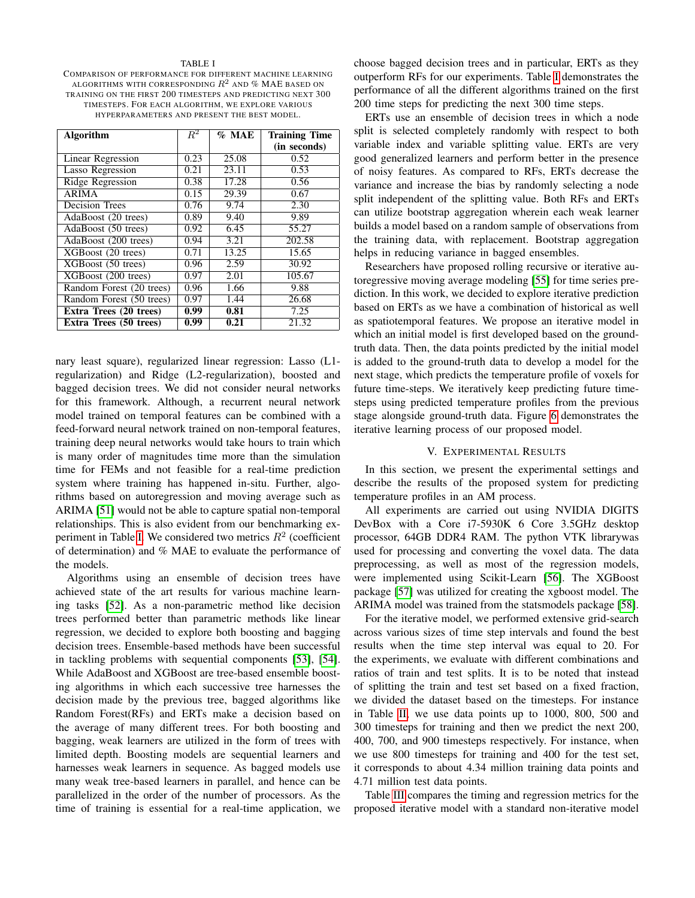#### TABLE I

<span id="page-5-1"></span>COMPARISON OF PERFORMANCE FOR DIFFERENT MACHINE LEARNING ALGORITHMS WITH CORRESPONDING  $R^2$  and % MAE based on TRAINING ON THE FIRST 200 TIMESTEPS AND PREDICTING NEXT 300 TIMESTEPS. FOR EACH ALGORITHM, WE EXPLORE VARIOUS HYPERPARAMETERS AND PRESENT THE BEST MODEL.

| <b>Algorithm</b>         | $R^2$ | $%$ MAE | <b>Training Time</b> |
|--------------------------|-------|---------|----------------------|
|                          |       |         | (in seconds)         |
| <b>Linear Regression</b> | 0.23  | 25.08   | 0.52                 |
| Lasso Regression         | 0.21  | 23.11   | 0.53                 |
| Ridge Regression         | 0.38  | 17.28   | 0.56                 |
| <b>ARIMA</b>             | 0.15  | 29.39   | 0.67                 |
| Decision Trees           | 0.76  | 9.74    | 2.30                 |
| AdaBoost (20 trees)      | 0.89  | 9.40    | 9.89                 |
| AdaBoost (50 trees)      | 0.92  | 6.45    | 55.27                |
| AdaBoost (200 trees)     | 0.94  | 3.21    | 202.58               |
| XGBoost (20 trees)       | 0.71  | 13.25   | 15.65                |
| XGBoost (50 trees)       | 0.96  | 2.59    | 30.92                |
| XGBoost (200 trees)      | 0.97  | 2.01    | 105.67               |
| Random Forest (20 trees) | 0.96  | 1.66    | 9.88                 |
| Random Forest (50 trees) | 0.97  | 1.44    | 26.68                |
| Extra Trees (20 trees)   | 0.99  | 0.81    | 7.25                 |
| Extra Trees (50 trees)   | 0.99  | 0.21    | 21.32                |

nary least square), regularized linear regression: Lasso (L1 regularization) and Ridge (L2-regularization), boosted and bagged decision trees. We did not consider neural networks for this framework. Although, a recurrent neural network model trained on temporal features can be combined with a feed-forward neural network trained on non-temporal features, training deep neural networks would take hours to train which is many order of magnitudes time more than the simulation time for FEMs and not feasible for a real-time prediction system where training has happened in-situ. Further, algorithms based on autoregression and moving average such as ARIMA [\[51\]](#page-9-14) would not be able to capture spatial non-temporal relationships. This is also evident from our benchmarking ex-periment in Table [I.](#page-5-1) We considered two metrics  $R^2$  (coefficient of determination) and % MAE to evaluate the performance of the models.

Algorithms using an ensemble of decision trees have achieved state of the art results for various machine learning tasks [\[52\]](#page-9-15). As a non-parametric method like decision trees performed better than parametric methods like linear regression, we decided to explore both boosting and bagging decision trees. Ensemble-based methods have been successful in tackling problems with sequential components [\[53\]](#page-9-16), [\[54\]](#page-9-17). While AdaBoost and XGBoost are tree-based ensemble boosting algorithms in which each successive tree harnesses the decision made by the previous tree, bagged algorithms like Random Forest(RFs) and ERTs make a decision based on the average of many different trees. For both boosting and bagging, weak learners are utilized in the form of trees with limited depth. Boosting models are sequential learners and harnesses weak learners in sequence. As bagged models use many weak tree-based learners in parallel, and hence can be parallelized in the order of the number of processors. As the time of training is essential for a real-time application, we choose bagged decision trees and in particular, ERTs as they outperform RFs for our experiments. Table [I](#page-5-1) demonstrates the performance of all the different algorithms trained on the first 200 time steps for predicting the next 300 time steps.

ERTs use an ensemble of decision trees in which a node split is selected completely randomly with respect to both variable index and variable splitting value. ERTs are very good generalized learners and perform better in the presence of noisy features. As compared to RFs, ERTs decrease the variance and increase the bias by randomly selecting a node split independent of the splitting value. Both RFs and ERTs can utilize bootstrap aggregation wherein each weak learner builds a model based on a random sample of observations from the training data, with replacement. Bootstrap aggregation helps in reducing variance in bagged ensembles.

Researchers have proposed rolling recursive or iterative autoregressive moving average modeling [\[55\]](#page-9-18) for time series prediction. In this work, we decided to explore iterative prediction based on ERTs as we have a combination of historical as well as spatiotemporal features. We propose an iterative model in which an initial model is first developed based on the groundtruth data. Then, the data points predicted by the initial model is added to the ground-truth data to develop a model for the next stage, which predicts the temperature profile of voxels for future time-steps. We iteratively keep predicting future timesteps using predicted temperature profiles from the previous stage alongside ground-truth data. Figure [6](#page-6-0) demonstrates the iterative learning process of our proposed model.

# V. EXPERIMENTAL RESULTS

<span id="page-5-0"></span>In this section, we present the experimental settings and describe the results of the proposed system for predicting temperature profiles in an AM process.

All experiments are carried out using NVIDIA DIGITS DevBox with a Core i7-5930K 6 Core 3.5GHz desktop processor, 64GB DDR4 RAM. The python VTK librarywas used for processing and converting the voxel data. The data preprocessing, as well as most of the regression models, were implemented using Scikit-Learn [\[56\]](#page-9-19). The XGBoost package [\[57\]](#page-9-20) was utilized for creating the xgboost model. The ARIMA model was trained from the statsmodels package [\[58\]](#page-9-21).

For the iterative model, we performed extensive grid-search across various sizes of time step intervals and found the best results when the time step interval was equal to 20. For the experiments, we evaluate with different combinations and ratios of train and test splits. It is to be noted that instead of splitting the train and test set based on a fixed fraction, we divided the dataset based on the timesteps. For instance in Table [II,](#page-6-1) we use data points up to 1000, 800, 500 and 300 timesteps for training and then we predict the next 200, 400, 700, and 900 timesteps respectively. For instance, when we use 800 timesteps for training and 400 for the test set, it corresponds to about 4.34 million training data points and 4.71 million test data points.

Table [III](#page-6-2) compares the timing and regression metrics for the proposed iterative model with a standard non-iterative model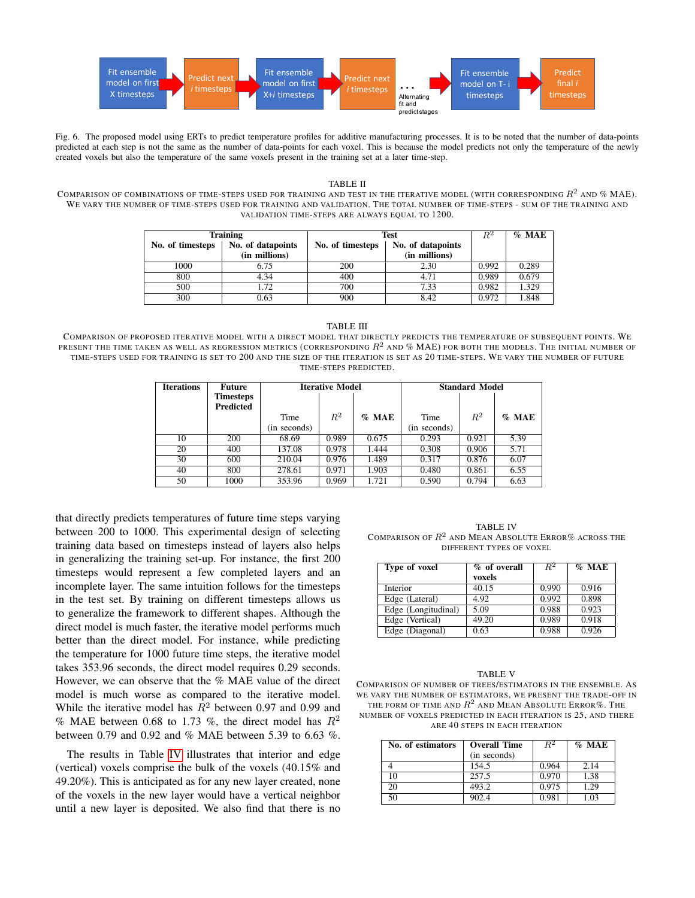

<span id="page-6-0"></span>Fig. 6. The proposed model using ERTs to predict temperature profiles for additive manufacturing processes. It is to be noted that the number of data-points predicted at each step is not the same as the number of data-points for each voxel. This is because the model predicts not only the temperature of the newly created voxels but also the temperature of the same voxels present in the training set at a later time-step.

#### TABLE II

<span id="page-6-1"></span>COMPARISON OF COMBINATIONS OF TIME-STEPS USED FOR TRAINING AND TEST IN THE ITERATIVE MODEL (WITH CORRESPONDING  $R^2$  and % MAE). WE VARY THE NUMBER OF TIME-STEPS USED FOR TRAINING AND VALIDATION. THE TOTAL NUMBER OF TIME-STEPS - SUM OF THE TRAINING AND VALIDATION TIME-STEPS ARE ALWAYS EQUAL TO 1200.

|                  | <b>Training</b>   | <b>Test</b>      |                   | $R^2$ | $\%$ MAE |
|------------------|-------------------|------------------|-------------------|-------|----------|
| No. of timesteps | No. of datapoints | No. of timesteps | No. of datapoints |       |          |
|                  | (in millions)     |                  | (in millions)     |       |          |
| 1000             | 6.75              | 200              | 2.30              | 0.992 | 0.289    |
| 800              | 4.34              | 400              | 4.71              | 0.989 | 0.679    |
| 500              | .72               | 700              | 7.33              | 0.982 | 1.329    |
| 300              | 0.63              | 900              | 8.42              | 0.972 | 1.848    |

TABLE III

<span id="page-6-2"></span>COMPARISON OF PROPOSED ITERATIVE MODEL WITH A DIRECT MODEL THAT DIRECTLY PREDICTS THE TEMPERATURE OF SUBSEQUENT POINTS. WE PRESENT THE TIME TAKEN AS WELL AS REGRESSION METRICS (CORRESPONDING  $R^2$  and % MAE) for both the models. The initial number of TIME-STEPS USED FOR TRAINING IS SET TO 200 AND THE SIZE OF THE ITERATION IS SET AS 20 TIME-STEPS. WE VARY THE NUMBER OF FUTURE TIME-STEPS PREDICTED.

| Iterations | Future                 | <b>Iterative Model</b> |       |          | <b>Standard Model</b> |       |          |
|------------|------------------------|------------------------|-------|----------|-----------------------|-------|----------|
|            | Timesteps<br>Predicted |                        |       |          |                       |       |          |
|            |                        | Time                   | $R^2$ | $\%$ MAE | Time                  | $R^2$ | $\%$ MAE |
|            |                        | (in seconds)           |       |          | (in seconds)          |       |          |
| 10         | 200                    | 68.69                  | 0.989 | 0.675    | 0.293                 | 0.921 | 5.39     |
| 20         | 400                    | 137.08                 | 0.978 | 1.444    | 0.308                 | 0.906 | 5.71     |
| 30         | 600                    | 210.04                 | 0.976 | 1.489    | 0.317                 | 0.876 | 6.07     |
| 40         | 800                    | 278.61                 | 0.971 | 1.903    | 0.480                 | 0.861 | 6.55     |
| 50         | 1000                   | 353.96                 | 0.969 | 1.721    | 0.590                 | 0.794 | 6.63     |

that directly predicts temperatures of future time steps varying between 200 to 1000. This experimental design of selecting training data based on timesteps instead of layers also helps in generalizing the training set-up. For instance, the first 200 timesteps would represent a few completed layers and an incomplete layer. The same intuition follows for the timesteps in the test set. By training on different timesteps allows us to generalize the framework to different shapes. Although the direct model is much faster, the iterative model performs much better than the direct model. For instance, while predicting the temperature for 1000 future time steps, the iterative model takes 353.96 seconds, the direct model requires 0.29 seconds. However, we can observe that the % MAE value of the direct model is much worse as compared to the iterative model. While the iterative model has  $R^2$  between 0.97 and 0.99 and % MAE between 0.68 to 1.73 %, the direct model has  $R^2$ between 0.79 and 0.92 and % MAE between 5.39 to 6.63 %.

The results in Table [IV](#page-6-3) illustrates that interior and edge (vertical) voxels comprise the bulk of the voxels (40.15% and 49.20%). This is anticipated as for any new layer created, none of the voxels in the new layer would have a vertical neighbor until a new layer is deposited. We also find that there is no

<span id="page-6-3"></span>TABLE IV COMPARISON OF  $R^2$  and Mean Absolute Error% across the DIFFERENT TYPES OF VOXEL

| Type of voxel       | % of overall | $R^2$ | $%$ MAE |
|---------------------|--------------|-------|---------|
|                     | voxels       |       |         |
| Interior            | 40.15        | 0.990 | 0.916   |
| Edge (Lateral)      | 4.92         | 0.992 | 0.898   |
| Edge (Longitudinal) | 5.09         | 0.988 | 0.923   |
| Edge (Vertical)     | 49.20        | 0.989 | 0.918   |
| Edge (Diagonal)     | 0.63         | 0.988 | 0.926   |

#### TABLE V

<span id="page-6-4"></span>COMPARISON OF NUMBER OF TREES/ESTIMATORS IN THE ENSEMBLE. AS WE VARY THE NUMBER OF ESTIMATORS, WE PRESENT THE TRADE-OFF IN THE FORM OF TIME AND  $R^2$  and Mean Absolute Error%. The NUMBER OF VOXELS PREDICTED IN EACH ITERATION IS 25, AND THERE ARE 40 STEPS IN EACH ITERATION

| No. of estimators | <b>Overall Time</b> | $R^2$ | $\%$ MAE |
|-------------------|---------------------|-------|----------|
|                   | (in seconds)        |       |          |
|                   | 154.5               | 0.964 | 2.14     |
| 10                | 257.5               | 0.970 | 1.38     |
| 20                | 493.2               | 0.975 | 1.29     |
| 50                | 902.4               | 0.981 | 1.03     |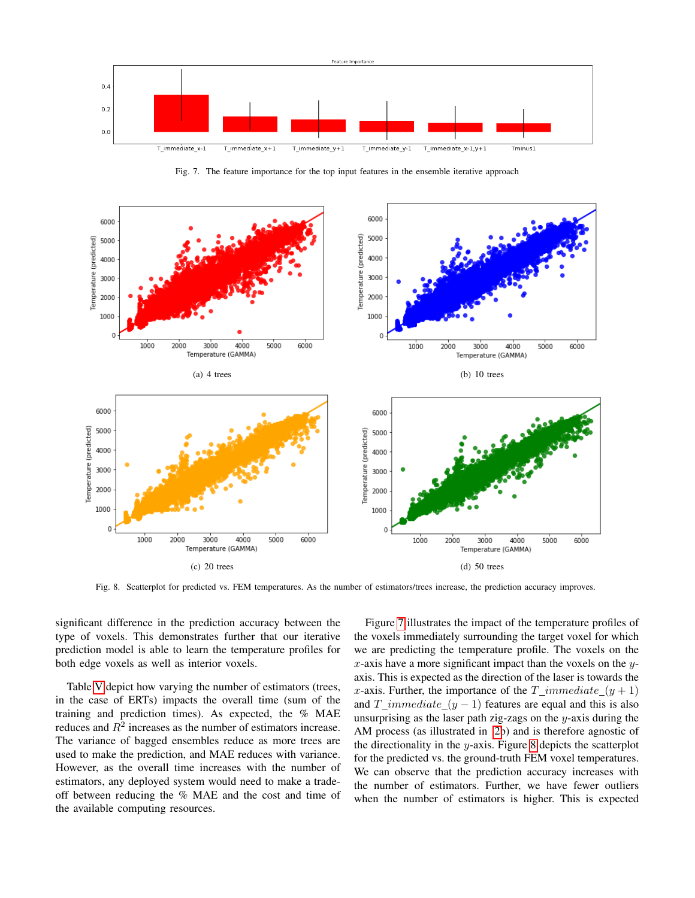

<span id="page-7-0"></span>Fig. 7. The feature importance for the top input features in the ensemble iterative approach



<span id="page-7-1"></span>Fig. 8. Scatterplot for predicted vs. FEM temperatures. As the number of estimators/trees increase, the prediction accuracy improves.

significant difference in the prediction accuracy between the type of voxels. This demonstrates further that our iterative prediction model is able to learn the temperature profiles for both edge voxels as well as interior voxels.

Table [V](#page-6-4) depict how varying the number of estimators (trees, in the case of ERTs) impacts the overall time (sum of the training and prediction times). As expected, the % MAE reduces and  $R^2$  increases as the number of estimators increase. The variance of bagged ensembles reduce as more trees are used to make the prediction, and MAE reduces with variance. However, as the overall time increases with the number of estimators, any deployed system would need to make a tradeoff between reducing the % MAE and the cost and time of the available computing resources.

Figure [7](#page-7-0) illustrates the impact of the temperature profiles of the voxels immediately surrounding the target voxel for which we are predicting the temperature profile. The voxels on the x-axis have a more significant impact than the voxels on the  $y$ axis. This is expected as the direction of the laser is towards the x-axis. Further, the importance of the  $T\_immediate_{y+1})$ and  $T\_immediate_{y - 1)$  features are equal and this is also unsurprising as the laser path zig-zags on the  $y$ -axis during the AM process (as illustrated in [2b](#page-2-1)) and is therefore agnostic of the directionality in the y-axis. Figure [8](#page-7-1) depicts the scatterplot for the predicted vs. the ground-truth FEM voxel temperatures. We can observe that the prediction accuracy increases with the number of estimators. Further, we have fewer outliers when the number of estimators is higher. This is expected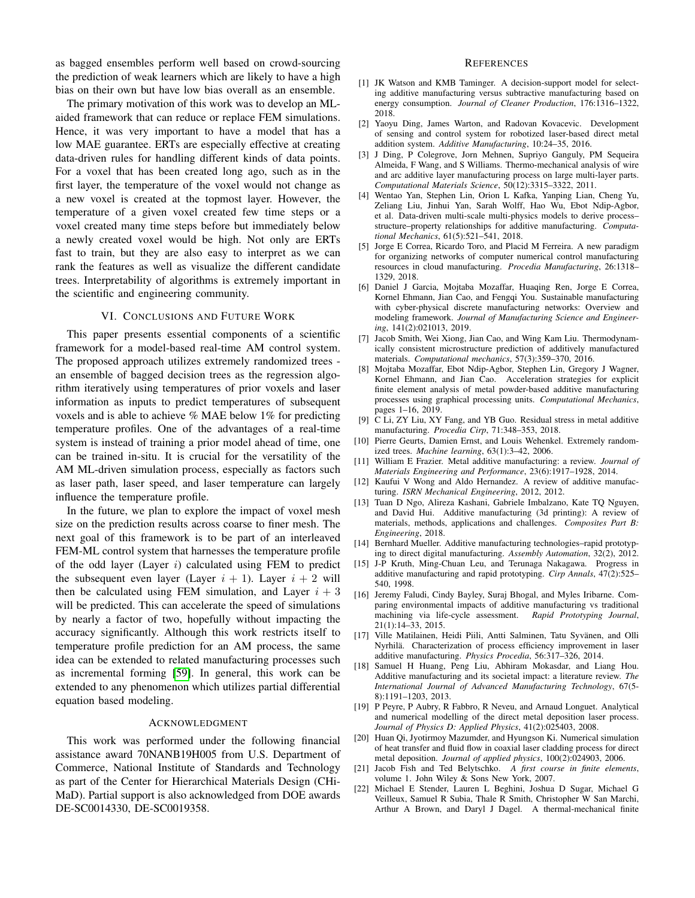as bagged ensembles perform well based on crowd-sourcing the prediction of weak learners which are likely to have a high bias on their own but have low bias overall as an ensemble.

The primary motivation of this work was to develop an MLaided framework that can reduce or replace FEM simulations. Hence, it was very important to have a model that has a low MAE guarantee. ERTs are especially effective at creating data-driven rules for handling different kinds of data points. For a voxel that has been created long ago, such as in the first layer, the temperature of the voxel would not change as a new voxel is created at the topmost layer. However, the temperature of a given voxel created few time steps or a voxel created many time steps before but immediately below a newly created voxel would be high. Not only are ERTs fast to train, but they are also easy to interpret as we can rank the features as well as visualize the different candidate trees. Interpretability of algorithms is extremely important in the scientific and engineering community.

## VI. CONCLUSIONS AND FUTURE WORK

<span id="page-8-10"></span>This paper presents essential components of a scientific framework for a model-based real-time AM control system. The proposed approach utilizes extremely randomized trees an ensemble of bagged decision trees as the regression algorithm iteratively using temperatures of prior voxels and laser information as inputs to predict temperatures of subsequent voxels and is able to achieve % MAE below 1% for predicting temperature profiles. One of the advantages of a real-time system is instead of training a prior model ahead of time, one can be trained in-situ. It is crucial for the versatility of the AM ML-driven simulation process, especially as factors such as laser path, laser speed, and laser temperature can largely influence the temperature profile.

In the future, we plan to explore the impact of voxel mesh size on the prediction results across coarse to finer mesh. The next goal of this framework is to be part of an interleaved FEM-ML control system that harnesses the temperature profile of the odd layer (Layer  $i$ ) calculated using FEM to predict the subsequent even layer (Layer  $i + 1$ ). Layer  $i + 2$  will then be calculated using FEM simulation, and Layer  $i + 3$ will be predicted. This can accelerate the speed of simulations by nearly a factor of two, hopefully without impacting the accuracy significantly. Although this work restricts itself to temperature profile prediction for an AM process, the same idea can be extended to related manufacturing processes such as incremental forming [\[59\]](#page-9-22). In general, this work can be extended to any phenomenon which utilizes partial differential equation based modeling.

#### ACKNOWLEDGMENT

This work was performed under the following financial assistance award 70NANB19H005 from U.S. Department of Commerce, National Institute of Standards and Technology as part of the Center for Hierarchical Materials Design (CHi-MaD). Partial support is also acknowledged from DOE awards DE-SC0014330, DE-SC0019358.

#### **REFERENCES**

- <span id="page-8-0"></span>[1] JK Watson and KMB Taminger. A decision-support model for selecting additive manufacturing versus subtractive manufacturing based on energy consumption. *Journal of Cleaner Production*, 176:1316–1322, 2018.
- <span id="page-8-1"></span>[2] Yaoyu Ding, James Warton, and Radovan Kovacevic. Development of sensing and control system for robotized laser-based direct metal addition system. *Additive Manufacturing*, 10:24–35, 2016.
- <span id="page-8-2"></span>[3] J Ding, P Colegrove, Jorn Mehnen, Supriyo Ganguly, PM Sequeira Almeida, F Wang, and S Williams. Thermo-mechanical analysis of wire and arc additive layer manufacturing process on large multi-layer parts. *Computational Materials Science*, 50(12):3315–3322, 2011.
- <span id="page-8-3"></span>[4] Wentao Yan, Stephen Lin, Orion L Kafka, Yanping Lian, Cheng Yu, Zeliang Liu, Jinhui Yan, Sarah Wolff, Hao Wu, Ebot Ndip-Agbor, et al. Data-driven multi-scale multi-physics models to derive process– structure–property relationships for additive manufacturing. *Computational Mechanics*, 61(5):521–541, 2018.
- <span id="page-8-4"></span>[5] Jorge E Correa, Ricardo Toro, and Placid M Ferreira. A new paradigm for organizing networks of computer numerical control manufacturing resources in cloud manufacturing. *Procedia Manufacturing*, 26:1318– 1329, 2018.
- <span id="page-8-5"></span>[6] Daniel J Garcia, Mojtaba Mozaffar, Huaqing Ren, Jorge E Correa, Kornel Ehmann, Jian Cao, and Fengqi You. Sustainable manufacturing with cyber-physical discrete manufacturing networks: Overview and modeling framework. *Journal of Manufacturing Science and Engineering*, 141(2):021013, 2019.
- <span id="page-8-6"></span>[7] Jacob Smith, Wei Xiong, Jian Cao, and Wing Kam Liu. Thermodynamically consistent microstructure prediction of additively manufactured materials. *Computational mechanics*, 57(3):359–370, 2016.
- <span id="page-8-7"></span>[8] Mojtaba Mozaffar, Ebot Ndip-Agbor, Stephen Lin, Gregory J Wagner, Kornel Ehmann, and Jian Cao. Acceleration strategies for explicit finite element analysis of metal powder-based additive manufacturing processes using graphical processing units. *Computational Mechanics*, pages 1–16, 2019.
- <span id="page-8-8"></span>[9] C Li, ZY Liu, XY Fang, and YB Guo. Residual stress in metal additive manufacturing. *Procedia Cirp*, 71:348–353, 2018.
- <span id="page-8-9"></span>[10] Pierre Geurts, Damien Ernst, and Louis Wehenkel. Extremely randomized trees. *Machine learning*, 63(1):3–42, 2006.
- <span id="page-8-11"></span>[11] William E Frazier. Metal additive manufacturing: a review. *Journal of Materials Engineering and Performance*, 23(6):1917–1928, 2014.
- <span id="page-8-12"></span>[12] Kaufui V Wong and Aldo Hernandez. A review of additive manufacturing. *ISRN Mechanical Engineering*, 2012, 2012.
- <span id="page-8-13"></span>[13] Tuan D Ngo, Alireza Kashani, Gabriele Imbalzano, Kate TQ Nguyen, and David Hui. Additive manufacturing (3d printing): A review of materials, methods, applications and challenges. *Composites Part B: Engineering*, 2018.
- <span id="page-8-14"></span>[14] Bernhard Mueller. Additive manufacturing technologies-rapid prototyping to direct digital manufacturing. *Assembly Automation*, 32(2), 2012.
- <span id="page-8-15"></span>[15] J-P Kruth, Ming-Chuan Leu, and Terunaga Nakagawa. Progress in additive manufacturing and rapid prototyping. *Cirp Annals*, 47(2):525– 540, 1998.
- <span id="page-8-16"></span>[16] Jeremy Faludi, Cindy Bayley, Suraj Bhogal, and Myles Iribarne. Comparing environmental impacts of additive manufacturing vs traditional machining via life-cycle assessment. *Rapid Prototyping Journal*, 21(1):14–33, 2015.
- <span id="page-8-17"></span>[17] Ville Matilainen, Heidi Piili, Antti Salminen, Tatu Syvänen, and Olli Nyrhilä. Characterization of process efficiency improvement in laser additive manufacturing. *Physics Procedia*, 56:317–326, 2014.
- <span id="page-8-18"></span>[18] Samuel H Huang, Peng Liu, Abhiram Mokasdar, and Liang Hou. Additive manufacturing and its societal impact: a literature review. *The International Journal of Advanced Manufacturing Technology*, 67(5- 8):1191–1203, 2013.
- <span id="page-8-19"></span>[19] P Peyre, P Aubry, R Fabbro, R Neveu, and Arnaud Longuet. Analytical and numerical modelling of the direct metal deposition laser process. *Journal of Physics D: Applied Physics*, 41(2):025403, 2008.
- <span id="page-8-20"></span>[20] Huan Qi, Jyotirmoy Mazumder, and Hyungson Ki. Numerical simulation of heat transfer and fluid flow in coaxial laser cladding process for direct metal deposition. *Journal of applied physics*, 100(2):024903, 2006.
- <span id="page-8-21"></span>[21] Jacob Fish and Ted Belytschko. *A first course in finite elements*, volume 1. John Wiley & Sons New York, 2007.
- <span id="page-8-22"></span>[22] Michael E Stender, Lauren L Beghini, Joshua D Sugar, Michael G Veilleux, Samuel R Subia, Thale R Smith, Christopher W San Marchi, Arthur A Brown, and Daryl J Dagel. A thermal-mechanical finite